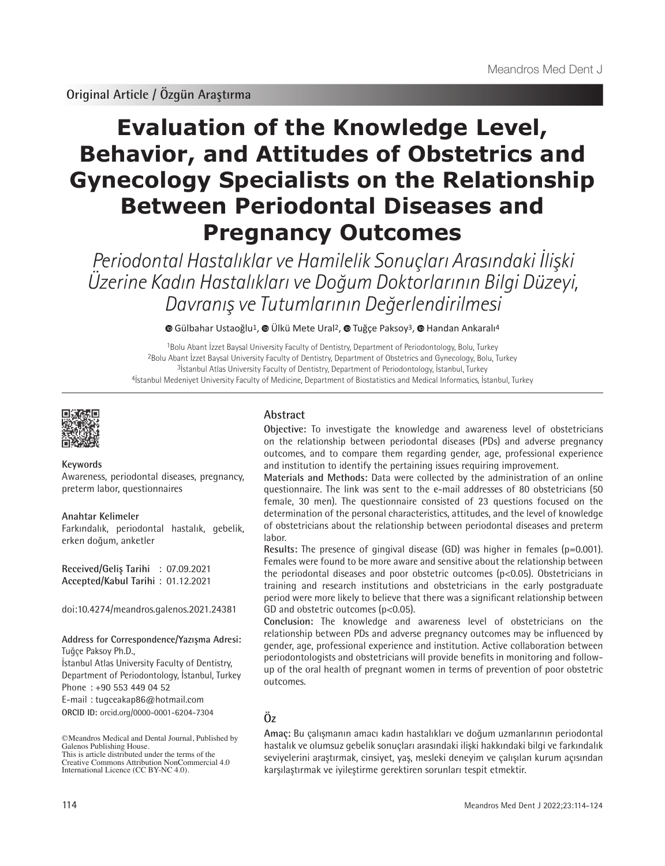# **Evaluation of the Knowledge Level, Behavior, and Attitudes of Obstetrics and Gynecology Specialists on the Relationship Between Periodontal Diseases and Pregnancy Outcomes**

Periodontal Hastalıklar ve Hamilelik Sonuçları Arasındaki İlişki Üzerine Kadın Hastalıkları ve Doğum Doktorlarının Bilgi Düzeyi, Davranış ve Tutumlarının Değerlendirilmesi

**©**Gülbahar Ustaoğlu<sup>1</sup>, **©** Ülkü Mete Ural<sup>2</sup>, © Tuğçe Paksoy<sup>3</sup>, © Handan Ankaralı<sup>4</sup>

Bolu Abant İzzet Baysal University Faculty of Dentistry, Department of Periodontology, Bolu, Turkey Bolu Abant İzzet Baysal University Faculty of Dentistry, Department of Obstetrics and Gynecology, Bolu, Turkey <sup>3</sup>İstanbul Atlas University Faculty of Dentistry, Department of Periodontology, İstanbul, Turkey İstanbul Medeniyet University Faculty of Medicine, Department of Biostatistics and Medical Informatics, İstanbul, Turkey



#### **Keywords**

Awareness, periodontal diseases, pregnancy, preterm labor, questionnaires

#### **Anahtar Kelimeler**

Farkındalık, periodontal hastalık, gebelik, erken doğum, anketler

**Received/Geliş Tarihi** : 07.09.2021 **Accepted/Kabul Tarihi** : 01.12.2021

doi:10.4274/meandros.galenos.2021.24381

#### **Address for Correspondence/Yazışma Adresi:** Tuğçe Paksoy Ph.D.,

**ORCID ID:** orcid.org/0000-0001-6204-7304 İstanbul Atlas University Faculty of Dentistry, Department of Periodontology, İstanbul, Turkey Phone : +90 553 449 04 52 E-mail : tugceakap86@hotmail.com

# **Abstract**

**Objective:** To investigate the knowledge and awareness level of obstetricians on the relationship between periodontal diseases (PDs) and adverse pregnancy outcomes, and to compare them regarding gender, age, professional experience and institution to identify the pertaining issues requiring improvement.

**Materials and Methods:** Data were collected by the administration of an online questionnaire. The link was sent to the e-mail addresses of 80 obstetricians (50 female, 30 men). The questionnaire consisted of 23 questions focused on the determination of the personal characteristics, attitudes, and the level of knowledge of obstetricians about the relationship between periodontal diseases and preterm labor.

**Results:** The presence of gingival disease (GD) was higher in females (p=0.001). Females were found to be more aware and sensitive about the relationship between the periodontal diseases and poor obstetric outcomes (p<0.05). Obstetricians in training and research institutions and obstetricians in the early postgraduate period were more likely to believe that there was a significant relationship between GD and obstetric outcomes (p<0.05).

**Conclusion:** The knowledge and awareness level of obstetricians on the relationship between PDs and adverse pregnancy outcomes may be influenced by gender, age, professional experience and institution. Active collaboration between periodontologists and obstetricians will provide benefits in monitoring and followup of the oral health of pregnant women in terms of prevention of poor obstetric outcomes.

# **Öz**

**Amaç:** Bu çalışmanın amacı kadın hastalıkları ve doğum uzmanlarının periodontal hastalık ve olumsuz gebelik sonuçları arasındaki ilişki hakkındaki bilgi ve farkındalık seviyelerini araştırmak, cinsiyet, yaş, mesleki deneyim ve çalışılan kurum açısından karşılaştırmak ve iyileştirme gerektiren sorunları tespit etmektir.

<sup>©</sup>Meandros Medical and Dental Journal, Published by Galenos Publishing House. This is article distributed under the terms of the

Creative Commons Attribution NonCommercial 4.0 International Licence (CC BY-NC 4.0).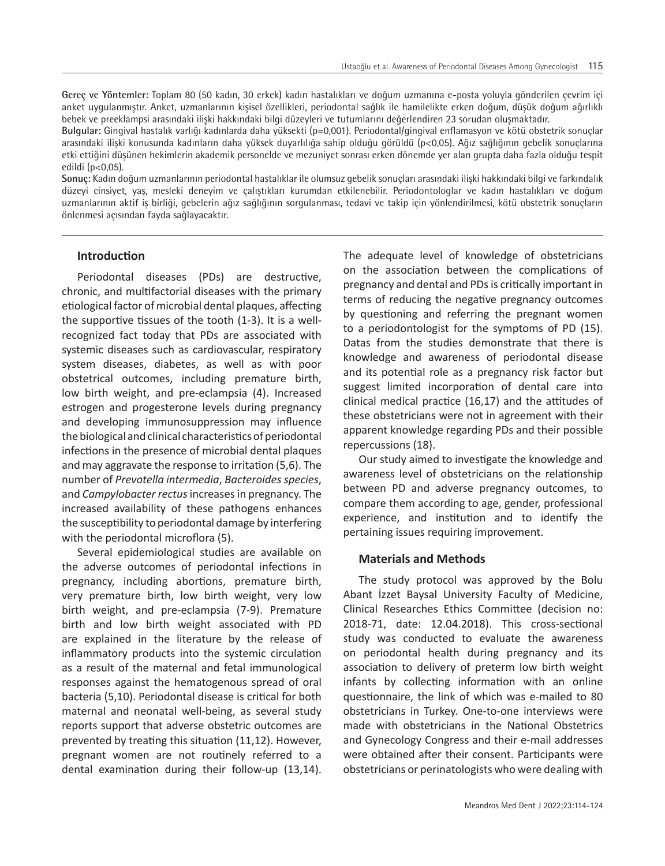**Gereç ve Yöntemler:** Toplam 80 (50 kadın, 30 erkek) kadın hastalıkları ve doğum uzmanına e-posta yoluyla gönderilen çevrim içi anket uygulanmıştır. Anket, uzmanlarının kişisel özellikleri, periodontal sağlık ile hamilelikte erken doğum, düşük doğum ağırlıklı bebek ve preeklampsi arasındaki ilişki hakkındaki bilgi düzeyleri ve tutumlarını değerlendiren 23 sorudan oluşmaktadır.

**Bulgular:** Gingival hastalık varlığı kadınlarda daha yüksekti (p=0,001). Periodontal/gingival enflamasyon ve kötü obstetrik sonuçlar arasındaki ilişki konusunda kadınların daha yüksek duyarlılığa sahip olduğu görüldü (p<0,05). Ağız sağlığının gebelik sonuçlarına etki ettiğini düşünen hekimlerin akademik personelde ve mezuniyet sonrası erken dönemde yer alan grupta daha fazla olduğu tespit edildi (p<0,05).

**Sonuç:** Kadın doğum uzmanlarının periodontal hastalıklar ile olumsuz gebelik sonuçları arasındaki ilişki hakkındaki bilgi ve farkındalık düzeyi cinsiyet, yaş, mesleki deneyim ve çalıştıkları kurumdan etkilenebilir. Periodontologlar ve kadın hastalıkları ve doğum uzmanlarının aktif iş birliği, gebelerin ağız sağlığının sorgulanması, tedavi ve takip için yönlendirilmesi, kötü obstetrik sonuçların önlenmesi açısından fayda sağlayacaktır.

### **Introduction**

Periodontal diseases (PDs) are destructive, chronic, and multifactorial diseases with the primary etiological factor of microbial dental plaques, affecting the supportive tissues of the tooth (1-3). It is a wellrecognized fact today that PDs are associated with systemic diseases such as cardiovascular, respiratory system diseases, diabetes, as well as with poor obstetrical outcomes, including premature birth, low birth weight, and pre-eclampsia (4). Increased estrogen and progesterone levels during pregnancy and developing immunosuppression may influence the biological and clinical characteristics of periodontal infections in the presence of microbial dental plaques and may aggravate the response to irritation (5,6). The number of *Prevotella intermedia*, *Bacteroides species*, and *Campylobacter rectus* increases in pregnancy. The increased availability of these pathogens enhances the susceptibility to periodontal damage by interfering with the periodontal microflora (5).

Several epidemiological studies are available on the adverse outcomes of periodontal infections in pregnancy, including abortions, premature birth, very premature birth, low birth weight, very low birth weight, and pre-eclampsia (7-9). Premature birth and low birth weight associated with PD are explained in the literature by the release of inflammatory products into the systemic circulation as a result of the maternal and fetal immunological responses against the hematogenous spread of oral bacteria (5,10). Periodontal disease is critical for both maternal and neonatal well-being, as several study reports support that adverse obstetric outcomes are prevented by treating this situation (11,12). However, pregnant women are not routinely referred to a dental examination during their follow-up (13,14).

The adequate level of knowledge of obstetricians on the association between the complications of pregnancy and dental and PDs is critically important in terms of reducing the negative pregnancy outcomes by questioning and referring the pregnant women to a periodontologist for the symptoms of PD (15). Datas from the studies demonstrate that there is knowledge and awareness of periodontal disease and its potential role as a pregnancy risk factor but suggest limited incorporation of dental care into clinical medical practice (16,17) and the attitudes of these obstetricians were not in agreement with their apparent knowledge regarding PDs and their possible repercussions (18).

Our study aimed to investigate the knowledge and awareness level of obstetricians on the relationship between PD and adverse pregnancy outcomes, to compare them according to age, gender, professional experience, and institution and to identify the pertaining issues requiring improvement.

## **Materials and Methods**

The study protocol was approved by the Bolu Abant İzzet Baysal University Faculty of Medicine, Clinical Researches Ethics Committee (decision no: 2018-71, date: 12.04.2018). This cross-sectional study was conducted to evaluate the awareness on periodontal health during pregnancy and its association to delivery of preterm low birth weight infants by collecting information with an online questionnaire, the link of which was e-mailed to 80 obstetricians in Turkey. One-to-one interviews were made with obstetricians in the National Obstetrics and Gynecology Congress and their e-mail addresses were obtained after their consent. Participants were obstetricians or perinatologists who were dealing with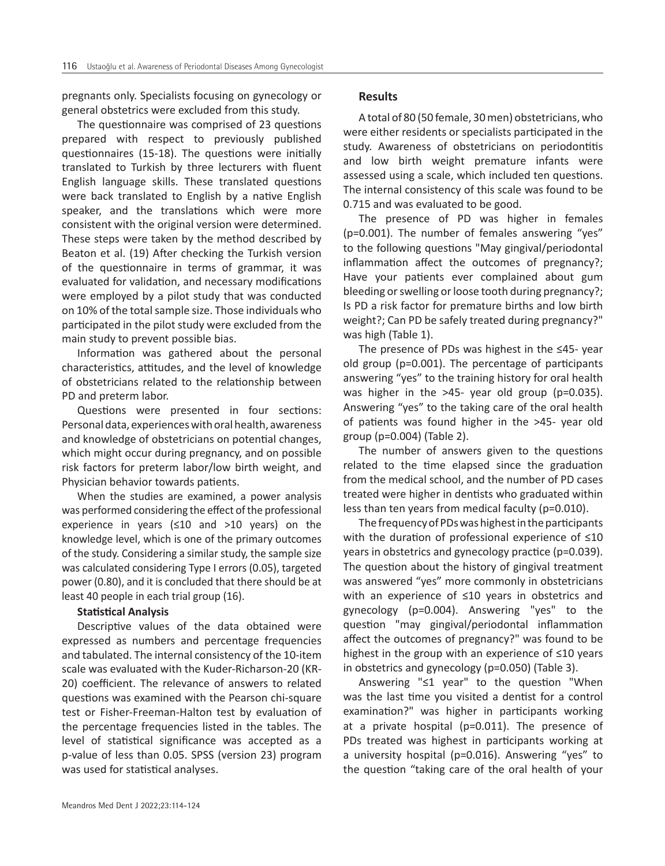pregnants only. Specialists focusing on gynecology or general obstetrics were excluded from this study.

The questionnaire was comprised of 23 questions prepared with respect to previously published questionnaires (15-18). The questions were initially translated to Turkish by three lecturers with fluent English language skills. These translated questions were back translated to English by a native English speaker, and the translations which were more consistent with the original version were determined. These steps were taken by the method described by Beaton et al. (19) After checking the Turkish version of the questionnaire in terms of grammar, it was evaluated for validation, and necessary modifications were employed by a pilot study that was conducted on 10% of the total sample size. Those individuals who participated in the pilot study were excluded from the main study to prevent possible bias.

Information was gathered about the personal characteristics, attitudes, and the level of knowledge of obstetricians related to the relationship between PD and preterm labor.

Questions were presented in four sections: Personal data, experiences with oral health, awareness and knowledge of obstetricians on potential changes, which might occur during pregnancy, and on possible risk factors for preterm labor/low birth weight, and Physician behavior towards patients.

When the studies are examined, a power analysis was performed considering the effect of the professional experience in years (≤10 and >10 years) on the knowledge level, which is one of the primary outcomes of the study. Considering a similar study, the sample size was calculated considering Type I errors (0.05), targeted power (0.80), and it is concluded that there should be at least 40 people in each trial group (16).

#### **Statistical Analysis**

Descriptive values of the data obtained were expressed as numbers and percentage frequencies and tabulated. The internal consistency of the 10-item scale was evaluated with the Kuder-Richarson-20 (KR-20) coefficient. The relevance of answers to related questions was examined with the Pearson chi-square test or Fisher-Freeman-Halton test by evaluation of the percentage frequencies listed in the tables. The level of statistical significance was accepted as a p-value of less than 0.05. SPSS (version 23) program was used for statistical analyses.

#### **Results**

A total of 80 (50 female, 30 men) obstetricians, who were either residents or specialists participated in the study. Awareness of obstetricians on periodontitis and low birth weight premature infants were assessed using a scale, which included ten questions. The internal consistency of this scale was found to be 0.715 and was evaluated to be good.

The presence of PD was higher in females (p=0.001). The number of females answering "yes" to the following questions "May gingival/periodontal inflammation affect the outcomes of pregnancy?; Have your patients ever complained about gum bleeding or swelling or loose tooth during pregnancy?; Is PD a risk factor for premature births and low birth weight?; Can PD be safely treated during pregnancy?" was high (Table 1).

The presence of PDs was highest in the ≤45- year old group (p=0.001). The percentage of participants answering "yes" to the training history for oral health was higher in the >45- year old group (p=0.035). Answering "yes" to the taking care of the oral health of patients was found higher in the >45- year old group (p=0.004) (Table 2).

The number of answers given to the questions related to the time elapsed since the graduation from the medical school, and the number of PD cases treated were higher in dentists who graduated within less than ten years from medical faculty (p=0.010).

The frequency of PDs was highest in the participants with the duration of professional experience of ≤10 years in obstetrics and gynecology practice (p=0.039). The question about the history of gingival treatment was answered "yes" more commonly in obstetricians with an experience of ≤10 years in obstetrics and gynecology (p=0.004). Answering "yes" to the question "may gingival/periodontal inflammation affect the outcomes of pregnancy?" was found to be highest in the group with an experience of ≤10 years in obstetrics and gynecology (p=0.050) (Table 3).

Answering "≤1 year" to the question "When was the last time you visited a dentist for a control examination?" was higher in participants working at a private hospital (p=0.011). The presence of PDs treated was highest in participants working at a university hospital (p=0.016). Answering "yes" to the question "taking care of the oral health of your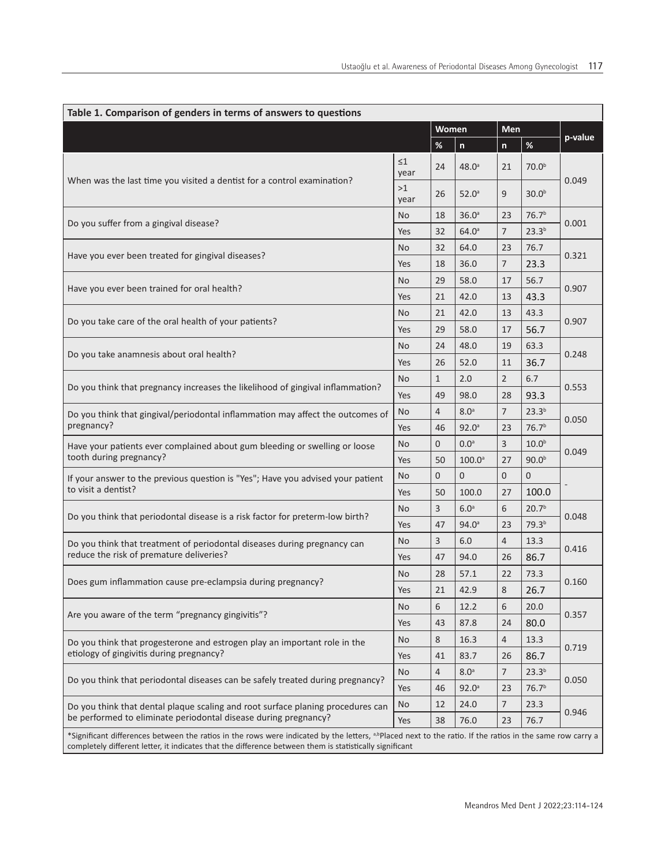| Table 1. Comparison of genders in terms of answers to questions                                                                                                       |                  |       |                   |                |                   |         |  |  |  |
|-----------------------------------------------------------------------------------------------------------------------------------------------------------------------|------------------|-------|-------------------|----------------|-------------------|---------|--|--|--|
|                                                                                                                                                                       |                  | Women |                   | Men            |                   |         |  |  |  |
|                                                                                                                                                                       |                  | %     | $\mathsf{n}$      | $\mathsf{n}$   | $\%$              | p-value |  |  |  |
| When was the last time you visited a dentist for a control examination?                                                                                               | $\leq 1$<br>year | 24    | $48.0^{\circ}$    | 21             | 70.0 <sup>b</sup> | 0.049   |  |  |  |
|                                                                                                                                                                       | >1<br>year       | 26    | $52.0^{\circ}$    | 9              | 30.0 <sup>b</sup> |         |  |  |  |
|                                                                                                                                                                       | No               | 18    | 36.0 <sup>a</sup> | 23             | 76.7 <sup>b</sup> |         |  |  |  |
| Do you suffer from a gingival disease?                                                                                                                                | Yes              | 32    | $64.0^{\circ}$    | $\overline{7}$ | $23.3^{b}$        | 0.001   |  |  |  |
| Have you ever been treated for gingival diseases?                                                                                                                     | <b>No</b>        | 32    | 64.0              | 23             | 76.7              |         |  |  |  |
|                                                                                                                                                                       | Yes              | 18    | 36.0              | $\overline{7}$ | 23.3              | 0.321   |  |  |  |
|                                                                                                                                                                       | <b>No</b>        | 29    | 58.0              | 17             | 56.7              |         |  |  |  |
| Have you ever been trained for oral health?                                                                                                                           | Yes              | 21    | 42.0              | 13             | 43.3              | 0.907   |  |  |  |
| Do you take care of the oral health of your patients?                                                                                                                 | <b>No</b>        | 21    | 42.0              | 13             | 43.3              |         |  |  |  |
|                                                                                                                                                                       | Yes              | 29    | 58.0              | 17             | 56.7              | 0.907   |  |  |  |
|                                                                                                                                                                       | No               | 24    | 48.0              | 19             | 63.3              |         |  |  |  |
| Do you take anamnesis about oral health?                                                                                                                              | Yes              | 26    | 52.0              | 11             | 36.7              | 0.248   |  |  |  |
| Do you think that pregnancy increases the likelihood of gingival inflammation?                                                                                        | <b>No</b>        | 1     | 2.0               | $\overline{2}$ | 6.7               |         |  |  |  |
|                                                                                                                                                                       | Yes              | 49    | 98.0              | 28             | 93.3              | 0.553   |  |  |  |
| Do you think that gingival/periodontal inflammation may affect the outcomes of<br>pregnancy?                                                                          | No               | 4     | 8.0 <sup>a</sup>  | $\overline{7}$ | 23.3 <sup>b</sup> | 0.050   |  |  |  |
|                                                                                                                                                                       | Yes              | 46    | $92.0^{\circ}$    | 23             | 76.7 <sup>b</sup> |         |  |  |  |
| Have your patients ever complained about gum bleeding or swelling or loose                                                                                            | <b>No</b>        | 0     | 0.0 <sup>a</sup>  | 3              | 10.0 <sup>b</sup> | 0.049   |  |  |  |
| tooth during pregnancy?                                                                                                                                               | Yes              | 50    | $100.0^{\circ}$   | 27             | 90.0 <sup>b</sup> |         |  |  |  |
| If your answer to the previous question is "Yes"; Have you advised your patient                                                                                       | <b>No</b>        | 0     | $\mathbf{0}$      | $\overline{0}$ | $\overline{0}$    |         |  |  |  |
| to visit a dentist?                                                                                                                                                   | Yes              | 50    | 100.0             | 27             | 100.0             |         |  |  |  |
|                                                                                                                                                                       | <b>No</b>        | 3     | 6.0 <sup>a</sup>  | 6              | 20.7 <sup>b</sup> |         |  |  |  |
| Do you think that periodontal disease is a risk factor for preterm-low birth?                                                                                         | Yes              | 47    | $94.0^{\circ}$    | 23             | 79.3 <sup>b</sup> | 0.048   |  |  |  |
| Do you think that treatment of periodontal diseases during pregnancy can                                                                                              | No               | 3     | 6.0               | $\overline{4}$ | 13.3              | 0.416   |  |  |  |
| reduce the risk of premature deliveries?                                                                                                                              | Yes              | 47    | 94.0              | 26             | 86.7              |         |  |  |  |
|                                                                                                                                                                       | No               | 28    | 57.1              | 22             | 73.3              |         |  |  |  |
| Does gum inflammation cause pre-eclampsia during pregnancy?                                                                                                           | Yes              | 21    | 42.9              | 8              | 26.7              | 0.160   |  |  |  |
|                                                                                                                                                                       | <b>No</b>        | 6     | 12.2              | 6              | 20.0              | 0.357   |  |  |  |
| Are you aware of the term "pregnancy gingivitis"?                                                                                                                     | Yes              | 43    | 87.8              | 24             | 80.0              |         |  |  |  |
| Do you think that progesterone and estrogen play an important role in the<br>etiology of gingivitis during pregnancy?                                                 | <b>No</b>        | 8     | 16.3              | 4              | 13.3              |         |  |  |  |
|                                                                                                                                                                       | Yes              | 41    | 83.7              | 26             | 86.7              | 0.719   |  |  |  |
| Do you think that periodontal diseases can be safely treated during pregnancy?                                                                                        | <b>No</b>        | 4     | 8.0 <sup>a</sup>  | 7              | 23.3 <sup>b</sup> | 0.050   |  |  |  |
|                                                                                                                                                                       | Yes              | 46    | $92.0^{\circ}$    | 23             | 76.7 <sup>b</sup> |         |  |  |  |
| Do you think that dental plaque scaling and root surface planing procedures can                                                                                       | <b>No</b>        | 12    | 24.0              | 7              | 23.3              | 0.946   |  |  |  |
| be performed to eliminate periodontal disease during pregnancy?                                                                                                       |                  | 38    | 76.0              | 23             | 76.7              |         |  |  |  |
| *Significant differences between the ratios in the rows were indicated by the letters, <sup>a,bp</sup> laced next to the ratio. If the ratios in the same row carry a |                  |       |                   |                |                   |         |  |  |  |

completely different letter, it indicates that the difference between them is statistically significant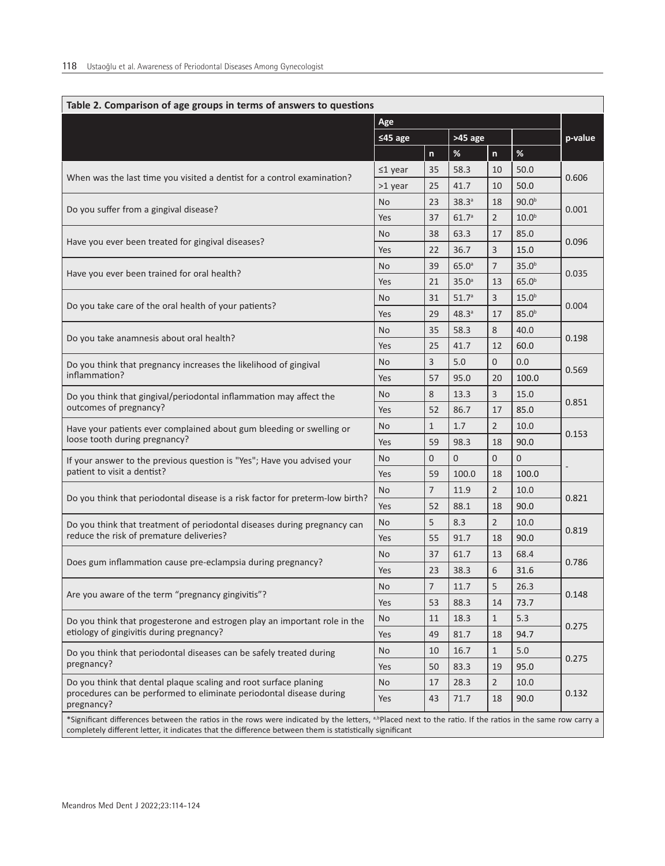| Table 2. Comparison of age groups in terms of answers to questions                                                                                                                                                                                                               |               |                |                   |                |                   |         |  |  |
|----------------------------------------------------------------------------------------------------------------------------------------------------------------------------------------------------------------------------------------------------------------------------------|---------------|----------------|-------------------|----------------|-------------------|---------|--|--|
|                                                                                                                                                                                                                                                                                  | Age           |                |                   |                |                   |         |  |  |
|                                                                                                                                                                                                                                                                                  | $≤45$ age     |                | $>45$ age         |                |                   | p-value |  |  |
|                                                                                                                                                                                                                                                                                  |               | $\mathsf{n}$   | %                 | n              | $\%$              |         |  |  |
| When was the last time you visited a dentist for a control examination?                                                                                                                                                                                                          | $\leq$ 1 year | 35             | 58.3              | 10             | 50.0              |         |  |  |
|                                                                                                                                                                                                                                                                                  | >1 year       | 25             | 41.7              | 10             | 50.0              | 0.606   |  |  |
| Do you suffer from a gingival disease?                                                                                                                                                                                                                                           | <b>No</b>     | 23             | 38.3a             | 18             | 90.0 <sup>b</sup> | 0.001   |  |  |
|                                                                                                                                                                                                                                                                                  | Yes           | 37             | 61.7 <sup>a</sup> | $\overline{2}$ | 10.0 <sup>b</sup> |         |  |  |
| Have you ever been treated for gingival diseases?                                                                                                                                                                                                                                | <b>No</b>     | 38             | 63.3              | 17             | 85.0              |         |  |  |
|                                                                                                                                                                                                                                                                                  | Yes           | 22             | 36.7              | 3              | 15.0              | 0.096   |  |  |
| Have you ever been trained for oral health?                                                                                                                                                                                                                                      | <b>No</b>     | 39             | 65.0 <sup>a</sup> | $\overline{7}$ | 35.0 <sup>b</sup> | 0.035   |  |  |
|                                                                                                                                                                                                                                                                                  | Yes           | 21             | 35.0 <sup>a</sup> | 13             | 65.0 <sup>b</sup> |         |  |  |
| Do you take care of the oral health of your patients?                                                                                                                                                                                                                            | <b>No</b>     | 31             | 51.7 <sup>a</sup> | $\overline{3}$ | 15.0 <sup>b</sup> | 0.004   |  |  |
|                                                                                                                                                                                                                                                                                  | Yes           | 29             | 48.3 <sup>a</sup> | 17             | 85.0 <sup>b</sup> |         |  |  |
|                                                                                                                                                                                                                                                                                  | <b>No</b>     | 35             | 58.3              | 8              | 40.0              | 0.198   |  |  |
| Do you take anamnesis about oral health?                                                                                                                                                                                                                                         | Yes           | 25             | 41.7              | 12             | 60.0              |         |  |  |
| Do you think that pregnancy increases the likelihood of gingival                                                                                                                                                                                                                 | <b>No</b>     | 3              | 5.0               | 0              | 0.0               | 0.569   |  |  |
| inflammation?                                                                                                                                                                                                                                                                    | Yes           | 57             | 95.0              | 20             | 100.0             |         |  |  |
| Do you think that gingival/periodontal inflammation may affect the<br>outcomes of pregnancy?                                                                                                                                                                                     | <b>No</b>     | 8              | 13.3              | $\overline{3}$ | 15.0              | 0.851   |  |  |
|                                                                                                                                                                                                                                                                                  | Yes           | 52             | 86.7              | 17             | 85.0              |         |  |  |
| Have your patients ever complained about gum bleeding or swelling or<br>loose tooth during pregnancy?                                                                                                                                                                            | <b>No</b>     | $\mathbf{1}$   | 1.7               | $\overline{2}$ | 10.0              | 0.153   |  |  |
|                                                                                                                                                                                                                                                                                  | Yes           | 59             | 98.3              | 18             | 90.0              |         |  |  |
| If your answer to the previous question is "Yes"; Have you advised your                                                                                                                                                                                                          | <b>No</b>     | $\overline{0}$ | $\mathbf{0}$      | $\overline{0}$ | $\mathbf{0}$      |         |  |  |
| patient to visit a dentist?                                                                                                                                                                                                                                                      | Yes           | 59             | 100.0             | 18             | 100.0             |         |  |  |
| Do you think that periodontal disease is a risk factor for preterm-low birth?                                                                                                                                                                                                    | <b>No</b>     | $\overline{7}$ | 11.9              | $\overline{2}$ | 10.0              | 0.821   |  |  |
|                                                                                                                                                                                                                                                                                  | Yes           | 52             | 88.1              | 18             | 90.0              |         |  |  |
| Do you think that treatment of periodontal diseases during pregnancy can                                                                                                                                                                                                         | <b>No</b>     | 5              | 8.3               | $\overline{2}$ | 10.0              | 0.819   |  |  |
| reduce the risk of premature deliveries?                                                                                                                                                                                                                                         | Yes           | 55             | 91.7              | 18             | 90.0              |         |  |  |
|                                                                                                                                                                                                                                                                                  | <b>No</b>     | 37             | 61.7              | 13             | 68.4              | 0.786   |  |  |
| Does gum inflammation cause pre-eclampsia during pregnancy?                                                                                                                                                                                                                      | Yes           | 23             | 38.3              | 6              | 31.6              |         |  |  |
|                                                                                                                                                                                                                                                                                  | No.           | 7              | 11.7              | 5              | 26.3              |         |  |  |
| Are you aware of the term "pregnancy gingivitis"?                                                                                                                                                                                                                                | Yes           | 53             | 88.3              | 14             | 73.7              | 0.148   |  |  |
| Do you think that progesterone and estrogen play an important role in the                                                                                                                                                                                                        | <b>No</b>     | 11             | 18.3              | $\mathbf 1$    | 5.3               |         |  |  |
| etiology of gingivitis during pregnancy?                                                                                                                                                                                                                                         | Yes           | 49             | 81.7              | 18             | 94.7              | 0.275   |  |  |
| Do you think that periodontal diseases can be safely treated during<br>pregnancy?                                                                                                                                                                                                | No            | 10             | 16.7              | $\mathbf{1}$   | 5.0               |         |  |  |
|                                                                                                                                                                                                                                                                                  | Yes           | 50             | 83.3              | 19             | 95.0              | 0.275   |  |  |
| Do you think that dental plaque scaling and root surface planing<br>procedures can be performed to eliminate periodontal disease during<br>pregnancy?                                                                                                                            | <b>No</b>     | 17             | 28.3              | $\overline{2}$ | 10.0              |         |  |  |
|                                                                                                                                                                                                                                                                                  | Yes           | 43             | 71.7              | 18             | 90.0              | 0.132   |  |  |
| *Significant differences between the ratios in the rows were indicated by the letters, <sup>a,b</sup> Placed next to the ratio. If the ratios in the same row carry a<br>completely different letter, it indicates that the difference between them is statistically significant |               |                |                   |                |                   |         |  |  |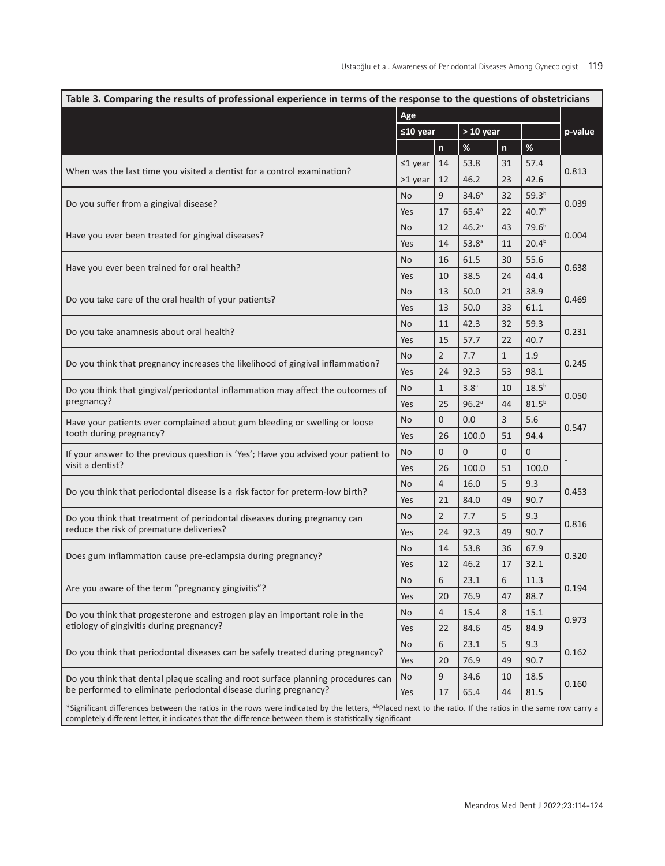| Table 3. Comparing the results of professional experience in terms of the response to the questions of obstetricians                                                  |           |                           |                   |                |                   |         |  |  |
|-----------------------------------------------------------------------------------------------------------------------------------------------------------------------|-----------|---------------------------|-------------------|----------------|-------------------|---------|--|--|
|                                                                                                                                                                       | Age       |                           |                   |                |                   |         |  |  |
|                                                                                                                                                                       |           | $> 10$ year<br>$≤10$ year |                   | $\mathsf{n}$   | $\%$              | p-value |  |  |
|                                                                                                                                                                       | $≤1$ year | $\mathsf{n}$<br>14        | $\%$<br>53.8      | 31             | 57.4              |         |  |  |
| When was the last time you visited a dentist for a control examination?                                                                                               |           | 12                        | 46.2              | 23             | 42.6              | 0.813   |  |  |
| Do you suffer from a gingival disease?<br>Have you ever been treated for gingival diseases?                                                                           | >1 year   | 9                         | 34.6 <sup>a</sup> | 32             | 59.3 <sup>b</sup> |         |  |  |
|                                                                                                                                                                       | No        |                           |                   |                | 40.7 <sup>b</sup> | 0.039   |  |  |
|                                                                                                                                                                       | Yes       | 17                        | $65.4^{\circ}$    | 22             |                   |         |  |  |
|                                                                                                                                                                       | No        | 12                        | 46.2 <sup>a</sup> | 43             | 79.6 <sup>b</sup> | 0.004   |  |  |
|                                                                                                                                                                       | Yes       | 14                        | 53.8 <sup>a</sup> | 11             | 20.4 <sup>b</sup> |         |  |  |
| Have you ever been trained for oral health?                                                                                                                           | No        | 16                        | 61.5              | 30             | 55.6              | 0.638   |  |  |
|                                                                                                                                                                       | Yes       | 10                        | 38.5              | 24             | 44.4              |         |  |  |
| Do you take care of the oral health of your patients?                                                                                                                 | No        | 13                        | 50.0              | 21             | 38.9              | 0.469   |  |  |
|                                                                                                                                                                       | Yes       | 13                        | 50.0              | 33             | 61.1              |         |  |  |
| Do you take anamnesis about oral health?                                                                                                                              | <b>No</b> | 11                        | 42.3              | 32             | 59.3              | 0.231   |  |  |
|                                                                                                                                                                       | Yes       | 15                        | 57.7              | 22             | 40.7              |         |  |  |
| Do you think that pregnancy increases the likelihood of gingival inflammation?                                                                                        | No        | $\overline{2}$            | 7.7               | $\mathbf{1}$   | 1.9               | 0.245   |  |  |
|                                                                                                                                                                       | Yes       | 24                        | 92.3              | 53             | 98.1              |         |  |  |
| Do you think that gingival/periodontal inflammation may affect the outcomes of<br>pregnancy?                                                                          | No        | $\mathbf{1}$              | 3.8 <sup>a</sup>  | 10             | $18.5^{b}$        | 0.050   |  |  |
|                                                                                                                                                                       | Yes       | 25                        | 96.2 <sup>a</sup> | 44             | $81.5^{b}$        |         |  |  |
| Have your patients ever complained about gum bleeding or swelling or loose<br>tooth during pregnancy?                                                                 | No        | 0                         | 0.0               | 3              | 5.6               | 0.547   |  |  |
|                                                                                                                                                                       | Yes       | 26                        | 100.0             | 51             | 94.4              |         |  |  |
| If your answer to the previous question is 'Yes'; Have you advised your patient to                                                                                    | No        | 0                         | $\overline{0}$    | $\overline{0}$ | $\overline{0}$    |         |  |  |
| visit a dentist?                                                                                                                                                      | Yes       | 26                        | 100.0             | 51             | 100.0             |         |  |  |
|                                                                                                                                                                       | <b>No</b> | $\overline{4}$            | 16.0              | 5              | 9.3               |         |  |  |
| Do you think that periodontal disease is a risk factor for preterm-low birth?                                                                                         | Yes       | 21                        | 84.0              | 49             | 90.7              | 0.453   |  |  |
| Do you think that treatment of periodontal diseases during pregnancy can                                                                                              | No        | $\overline{2}$            | 7.7               | 5              | 9.3               |         |  |  |
| reduce the risk of premature deliveries?                                                                                                                              | Yes       | 24                        | 92.3              | 49             | 90.7              | 0.816   |  |  |
| Does gum inflammation cause pre-eclampsia during pregnancy?                                                                                                           | No        | 14                        | 53.8              | 36             | 67.9              |         |  |  |
|                                                                                                                                                                       | Yes       | 12                        | 46.2              | 17             | 32.1              | 0.320   |  |  |
| Are you aware of the term "pregnancy gingivitis"?                                                                                                                     | No        | 6                         | 23.1              | 6              | 11.3              |         |  |  |
|                                                                                                                                                                       | Yes       | 20                        | 76.9              | 47             | 88.7              | 0.194   |  |  |
| Do you think that progesterone and estrogen play an important role in the<br>etiology of gingivitis during pregnancy?                                                 | No        | 4                         | 15.4              | 8              | 15.1              | 0.973   |  |  |
|                                                                                                                                                                       | Yes       | 22                        | 84.6              | 45             | 84.9              |         |  |  |
| Do you think that periodontal diseases can be safely treated during pregnancy?                                                                                        | No        | 6                         | 23.1              | 5              | 9.3               |         |  |  |
|                                                                                                                                                                       | Yes       | 20                        | 76.9              | 49             | 90.7              | 0.162   |  |  |
| Do you think that dental plaque scaling and root surface planning procedures can<br>be performed to eliminate periodontal disease during pregnancy?                   | No        | 9                         | 34.6              | 10             | 18.5              |         |  |  |
|                                                                                                                                                                       | Yes       | 17                        | 65.4              | 44             | 81.5              | 0.160   |  |  |
| *Significant differences between the ratios in the rows were indicated by the letters, <sup>a,b</sup> Placed next to the ratio. If the ratios in the same row carry a |           |                           |                   |                |                   |         |  |  |
| completely different letter, it indicates that the difference between them is statistically significant                                                               |           |                           |                   |                |                   |         |  |  |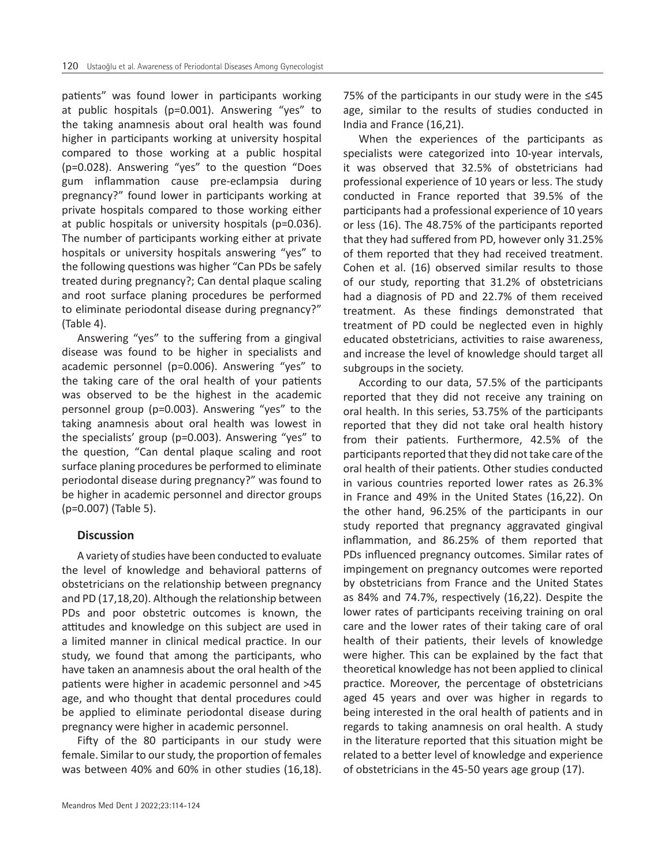patients" was found lower in participants working at public hospitals (p=0.001). Answering "yes" to the taking anamnesis about oral health was found higher in participants working at university hospital compared to those working at a public hospital (p=0.028). Answering "yes" to the question "Does gum inflammation cause pre-eclampsia during pregnancy?" found lower in participants working at private hospitals compared to those working either at public hospitals or university hospitals (p=0.036). The number of participants working either at private hospitals or university hospitals answering "yes" to the following questions was higher "Can PDs be safely treated during pregnancy?; Can dental plaque scaling and root surface planing procedures be performed to eliminate periodontal disease during pregnancy?" (Table 4).

Answering "yes" to the suffering from a gingival disease was found to be higher in specialists and academic personnel (p=0.006). Answering "yes" to the taking care of the oral health of your patients was observed to be the highest in the academic personnel group (p=0.003). Answering "yes" to the taking anamnesis about oral health was lowest in the specialists' group (p=0.003). Answering "yes" to the question, "Can dental plaque scaling and root surface planing procedures be performed to eliminate periodontal disease during pregnancy?" was found to be higher in academic personnel and director groups (p=0.007) (Table 5).

#### **Discussion**

A variety of studies have been conducted to evaluate the level of knowledge and behavioral patterns of obstetricians on the relationship between pregnancy and PD (17,18,20). Although the relationship between PDs and poor obstetric outcomes is known, the attitudes and knowledge on this subject are used in a limited manner in clinical medical practice. In our study, we found that among the participants, who have taken an anamnesis about the oral health of the patients were higher in academic personnel and >45 age, and who thought that dental procedures could be applied to eliminate periodontal disease during pregnancy were higher in academic personnel.

Fifty of the 80 participants in our study were female. Similar to our study, the proportion of females was between 40% and 60% in other studies (16,18). 75% of the participants in our study were in the ≤45 age, similar to the results of studies conducted in India and France (16,21).

When the experiences of the participants as specialists were categorized into 10-year intervals, it was observed that 32.5% of obstetricians had professional experience of 10 years or less. The study conducted in France reported that 39.5% of the participants had a professional experience of 10 years or less (16). The 48.75% of the participants reported that they had suffered from PD, however only 31.25% of them reported that they had received treatment. Cohen et al. (16) observed similar results to those of our study, reporting that 31.2% of obstetricians had a diagnosis of PD and 22.7% of them received treatment. As these findings demonstrated that treatment of PD could be neglected even in highly educated obstetricians, activities to raise awareness, and increase the level of knowledge should target all subgroups in the society.

According to our data, 57.5% of the participants reported that they did not receive any training on oral health. In this series, 53.75% of the participants reported that they did not take oral health history from their patients. Furthermore, 42.5% of the participants reported that they did not take care of the oral health of their patients. Other studies conducted in various countries reported lower rates as 26.3% in France and 49% in the United States (16,22). On the other hand, 96.25% of the participants in our study reported that pregnancy aggravated gingival inflammation, and 86.25% of them reported that PDs influenced pregnancy outcomes. Similar rates of impingement on pregnancy outcomes were reported by obstetricians from France and the United States as 84% and 74.7%, respectively (16,22). Despite the lower rates of participants receiving training on oral care and the lower rates of their taking care of oral health of their patients, their levels of knowledge were higher. This can be explained by the fact that theoretical knowledge has not been applied to clinical practice. Moreover, the percentage of obstetricians aged 45 years and over was higher in regards to being interested in the oral health of patients and in regards to taking anamnesis on oral health. A study in the literature reported that this situation might be related to a better level of knowledge and experience of obstetricians in the 45-50 years age group (17).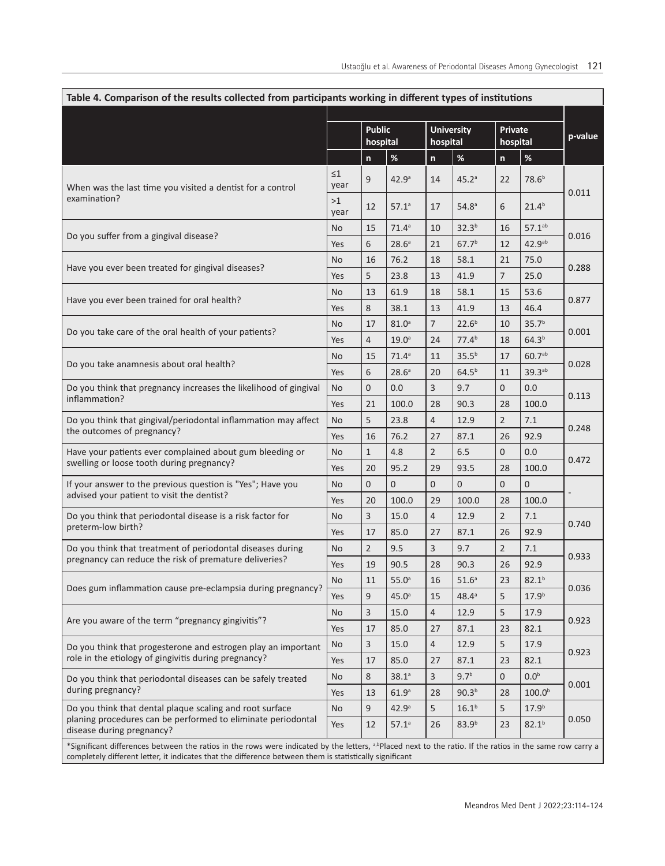| Table 4. Comparison of the results collected from participants working in different types of institutions                                                                                                                                                                        |                  |                           |                   |                               |                   |                     |                    |         |
|----------------------------------------------------------------------------------------------------------------------------------------------------------------------------------------------------------------------------------------------------------------------------------|------------------|---------------------------|-------------------|-------------------------------|-------------------|---------------------|--------------------|---------|
|                                                                                                                                                                                                                                                                                  |                  | <b>Public</b><br>hospital |                   | <b>University</b><br>hospital |                   | Private<br>hospital |                    | p-value |
|                                                                                                                                                                                                                                                                                  |                  | $\mathsf{n}$              | $\%$              | n                             | $\%$              | $\mathsf{n}$        | $\%$               |         |
| When was the last time you visited a dentist for a control<br>examination?                                                                                                                                                                                                       | $\leq 1$<br>year | 9                         | 42.9 <sup>a</sup> | 14                            | 45.2 <sup>a</sup> | 22                  | 78.6 <sup>b</sup>  | 0.011   |
|                                                                                                                                                                                                                                                                                  | >1<br>year       | 12                        | 57.1 <sup>a</sup> | 17                            | 54.8 <sup>a</sup> | 6                   | $21.4^{b}$         |         |
| Do you suffer from a gingival disease?                                                                                                                                                                                                                                           | <b>No</b>        | 15                        | 71.4 <sup>a</sup> | 10                            | 32.3 <sup>b</sup> | 16                  | $57.1^{ab}$        | 0.016   |
|                                                                                                                                                                                                                                                                                  | Yes              | 6                         | 28.6 <sup>a</sup> | 21                            | 67.7 <sup>b</sup> | 12                  | 42.9 <sup>ab</sup> |         |
| Have you ever been treated for gingival diseases?                                                                                                                                                                                                                                | No               | 16                        | 76.2              | 18                            | 58.1              | 21                  | 75.0               | 0.288   |
|                                                                                                                                                                                                                                                                                  | Yes              | 5                         | 23.8              | 13                            | 41.9              | 7                   | 25.0               |         |
|                                                                                                                                                                                                                                                                                  | No               | 13                        | 61.9              | 18                            | 58.1              | 15                  | 53.6               |         |
| Have you ever been trained for oral health?                                                                                                                                                                                                                                      | Yes              | 8                         | 38.1              | 13                            | 41.9              | 13                  | 46.4               | 0.877   |
|                                                                                                                                                                                                                                                                                  | No               | 17                        | 81.0 <sup>a</sup> | $7^{\circ}$                   | 22.6 <sup>b</sup> | 10                  | 35.7 <sup>b</sup>  |         |
| Do you take care of the oral health of your patients?                                                                                                                                                                                                                            | Yes              | 4                         | 19.0 <sup>a</sup> | 24                            | 77.4 <sup>b</sup> | 18                  | 64.3 <sup>b</sup>  | 0.001   |
|                                                                                                                                                                                                                                                                                  | No               | 15                        | 71.4 <sup>a</sup> | 11                            | 35.5 <sup>b</sup> | 17                  | $60.7^{ab}$        |         |
| Do you take anamnesis about oral health?                                                                                                                                                                                                                                         | Yes              | 6                         | 28.6 <sup>a</sup> | 20                            | $64.5^{b}$        | 11                  | 39.3 <sup>ab</sup> | 0.028   |
| Do you think that pregnancy increases the likelihood of gingival<br>inflammation?                                                                                                                                                                                                | No               | $\mathbf{0}$              | 0.0               | 3                             | 9.7               | $\overline{0}$      | 0.0                | 0.113   |
|                                                                                                                                                                                                                                                                                  | Yes              | 21                        | 100.0             | 28                            | 90.3              | 28                  | 100.0              |         |
| Do you think that gingival/periodontal inflammation may affect<br>the outcomes of pregnancy?                                                                                                                                                                                     | No               | 5                         | 23.8              | $\overline{4}$                | 12.9              | $\overline{2}$      | 7.1                | 0.248   |
|                                                                                                                                                                                                                                                                                  | Yes              | 16                        | 76.2              | 27                            | 87.1              | 26                  | 92.9               |         |
| Have your patients ever complained about gum bleeding or<br>swelling or loose tooth during pregnancy?                                                                                                                                                                            | No               | $\mathbf{1}$              | 4.8               | $\overline{2}$                | 6.5               | $\mathbf{0}$        | 0.0                | 0.472   |
|                                                                                                                                                                                                                                                                                  | Yes              | 20                        | 95.2              | 29                            | 93.5              | 28                  | 100.0              |         |
| If your answer to the previous question is "Yes"; Have you                                                                                                                                                                                                                       | <b>No</b>        | $\overline{0}$            | $\mathbf{0}$      | $\mathbf{0}$                  | $\overline{0}$    | $\mathbf{0}$        | $\overline{0}$     |         |
| advised your patient to visit the dentist?                                                                                                                                                                                                                                       | Yes              | 20                        | 100.0             | 29                            | 100.0             | 28                  | 100.0              |         |
| Do you think that periodontal disease is a risk factor for                                                                                                                                                                                                                       | No               | 3                         | 15.0              | $\overline{4}$                | 12.9              | $\overline{2}$      | 7.1                |         |
| preterm-low birth?                                                                                                                                                                                                                                                               | Yes              | 17                        | 85.0              | 27                            | 87.1              | 26                  | 92.9               | 0.740   |
| Do you think that treatment of periodontal diseases during                                                                                                                                                                                                                       | <b>No</b>        | $\overline{2}$            | 9.5               | $\overline{3}$                | 9.7               | $\overline{2}$      | 7.1                |         |
| pregnancy can reduce the risk of premature deliveries?                                                                                                                                                                                                                           | Yes              | 19                        | 90.5              | 28                            | 90.3              | 26                  | 92.9               | 0.933   |
| Does gum inflammation cause pre-eclampsia during pregnancy?                                                                                                                                                                                                                      | No               | 11                        | $55.0^\circ$      | 16                            | 51.6 <sup>a</sup> | 23                  | $82.1^{\rm b}$     | 0.036   |
|                                                                                                                                                                                                                                                                                  | Yes              | $\overline{9}$            | 45.0 <sup>a</sup> | 15                            | $48.4^a$          | 5                   | 17.9 <sup>b</sup>  |         |
| Are you aware of the term "pregnancy gingivitis"?                                                                                                                                                                                                                                | No               | 3                         | 15.0              | $\overline{4}$                | 12.9              | $\sqrt{5}$          | 17.9               | 0.923   |
|                                                                                                                                                                                                                                                                                  | Yes              | 17                        | 85.0              | 27                            | 87.1              | 23                  | 82.1               |         |
| Do you think that progesterone and estrogen play an important<br>role in the etiology of gingivitis during pregnancy?                                                                                                                                                            | No               | 3                         | 15.0              | $\overline{4}$                | 12.9              | 5                   | 17.9               | 0.923   |
|                                                                                                                                                                                                                                                                                  | Yes              | 17                        | 85.0              | 27                            | 87.1              | 23                  | 82.1               |         |
| Do you think that periodontal diseases can be safely treated<br>during pregnancy?                                                                                                                                                                                                | No               | 8                         | $38.1^a$          | 3                             | 9.7 <sup>b</sup>  | $\mathbf 0$         | 0.0 <sup>b</sup>   |         |
|                                                                                                                                                                                                                                                                                  | Yes              | 13                        | 61.9 <sup>a</sup> | 28                            | 90.3 <sup>b</sup> | 28                  | 100.0 <sup>b</sup> | 0.001   |
| Do you think that dental plaque scaling and root surface                                                                                                                                                                                                                         | <b>No</b>        | 9                         | 42.9 <sup>a</sup> | 5                             | 16.1 <sup>b</sup> | 5                   | 17.9 <sup>b</sup>  |         |
| planing procedures can be performed to eliminate periodontal<br>disease during pregnancy?                                                                                                                                                                                        | Yes              | 12                        | $57.1^a$          | 26                            | 83.9 <sup>b</sup> | 23                  | $82.1^{b}$         | 0.050   |
| *Significant differences between the ratios in the rows were indicated by the letters, <sup>a,bp</sup> laced next to the ratio. If the ratios in the same row carry a<br>completely different letter, it indicates that the difference between them is statistically significant |                  |                           |                   |                               |                   |                     |                    |         |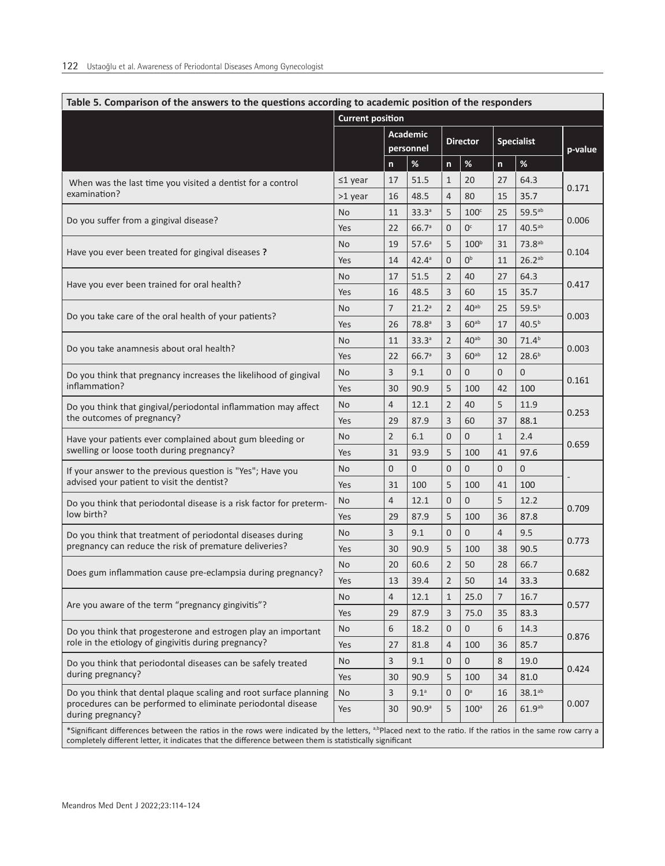| Table 5. Comparison of the answers to the questions according to academic position of the responders                                                                                                                                                                             | <b>Current position</b> |                              |                   |                 |                  |                   |                     |         |
|----------------------------------------------------------------------------------------------------------------------------------------------------------------------------------------------------------------------------------------------------------------------------------|-------------------------|------------------------------|-------------------|-----------------|------------------|-------------------|---------------------|---------|
|                                                                                                                                                                                                                                                                                  |                         | <b>Academic</b><br>personnel |                   | <b>Director</b> |                  | <b>Specialist</b> |                     | p-value |
|                                                                                                                                                                                                                                                                                  |                         | $\mathsf{n}$                 | $\%$              | $\mathsf{n}$    | $\%$             | n                 | $\%$                |         |
| When was the last time you visited a dentist for a control<br>examination?                                                                                                                                                                                                       | $\leq 1$ year           | 17                           | 51.5              | 1               | 20               | 27                | 64.3                |         |
|                                                                                                                                                                                                                                                                                  | >1 year                 | 16                           | 48.5              | 4               | 80               | 15                | 35.7                | 0.171   |
| Do you suffer from a gingival disease?                                                                                                                                                                                                                                           | No                      | 11                           | 33.3a             | 5               | 100 <sup>c</sup> | 25                | $59.5^{ab}$         | 0.006   |
|                                                                                                                                                                                                                                                                                  | Yes                     | 22                           | 66.7a             | $\overline{0}$  | 0 <sup>c</sup>   | 17                | $40.5a^{b}$         |         |
| Have you ever been treated for gingival diseases?                                                                                                                                                                                                                                | <b>No</b>               | 19                           | 57.6 <sup>a</sup> | 5               | 100 <sup>b</sup> | 31                | 73.8 <sup>ab</sup>  |         |
|                                                                                                                                                                                                                                                                                  | Yes                     | 14                           | $42.4^a$          | 0               | 0 <sup>b</sup>   | 11                | $26.2^{ab}$         | 0.104   |
|                                                                                                                                                                                                                                                                                  | <b>No</b>               | 17                           | 51.5              | $\overline{2}$  | 40               | 27                | 64.3                | 0.417   |
| Have you ever been trained for oral health?                                                                                                                                                                                                                                      | Yes                     | 16                           | 48.5              | 3               | 60               | 15                | 35.7                |         |
| Do you take care of the oral health of your patients?                                                                                                                                                                                                                            | <b>No</b>               | $\overline{7}$               | 21.2 <sup>a</sup> | $\overline{2}$  | 40 <sup>ab</sup> | 25                | $59.5^{b}$          | 0.003   |
|                                                                                                                                                                                                                                                                                  | Yes                     | 26                           | 78.8 <sup>a</sup> | 3               | 60 <sup>ab</sup> | 17                | 40.5 <sup>b</sup>   |         |
|                                                                                                                                                                                                                                                                                  | No                      | 11                           | 33.3a             | 2               | 40 <sup>ab</sup> | 30                | $71.4^{b}$          |         |
| Do you take anamnesis about oral health?                                                                                                                                                                                                                                         | Yes                     | 22                           | 66.7a             | 3               | 60 <sup>ab</sup> | 12                | 28.6 <sup>b</sup>   | 0.003   |
| Do you think that pregnancy increases the likelihood of gingival<br>inflammation?                                                                                                                                                                                                | No                      | 3                            | 9.1               | $\overline{0}$  | $\overline{0}$   | $\overline{0}$    | $\overline{0}$      |         |
|                                                                                                                                                                                                                                                                                  | Yes                     | 30                           | 90.9              | 5               | 100              | 42                | 100                 | 0.161   |
| Do you think that gingival/periodontal inflammation may affect<br>the outcomes of pregnancy?                                                                                                                                                                                     | No                      | $\overline{4}$               | 12.1              | $\overline{2}$  | 40               | 5                 | 11.9                | 0.253   |
|                                                                                                                                                                                                                                                                                  | Yes                     | 29                           | 87.9              | 3               | 60               | 37                | 88.1                |         |
| Have your patients ever complained about gum bleeding or<br>swelling or loose tooth during pregnancy?                                                                                                                                                                            | No                      | $\overline{2}$               | 6.1               | 0               | $\mathbf{0}$     | $\mathbf{1}$      | 2.4                 | 0.659   |
|                                                                                                                                                                                                                                                                                  | Yes                     | 31                           | 93.9              | 5               | 100              | 41                | 97.6                |         |
| If your answer to the previous question is "Yes"; Have you                                                                                                                                                                                                                       | No                      | $\overline{0}$               | 0                 | 0               | $\mathbf{0}$     | $\overline{0}$    | 0                   |         |
| advised your patient to visit the dentist?                                                                                                                                                                                                                                       | Yes                     | 31                           | 100               | 5               | 100              | 41                | 100                 |         |
| Do you think that periodontal disease is a risk factor for preterm-                                                                                                                                                                                                              | No                      | $\overline{4}$               | 12.1              | 0               | $\mathbf{0}$     | 5                 | 12.2                |         |
| low birth?                                                                                                                                                                                                                                                                       | Yes                     | 29                           | 87.9              | 5               | 100              | 36                | 87.8                | 0.709   |
| Do you think that treatment of periodontal diseases during                                                                                                                                                                                                                       | No                      | 3                            | 9.1               | $\overline{0}$  | $\mathbf{0}$     | $\overline{4}$    | 9.5                 | 0.773   |
| pregnancy can reduce the risk of premature deliveries?                                                                                                                                                                                                                           | Yes                     | 30                           | 90.9              | 5               | 100              | 38                | 90.5                |         |
|                                                                                                                                                                                                                                                                                  | <b>No</b>               | 20                           | 60.6              | $\overline{2}$  | 50               | 28                | 66.7                | 0.682   |
| Does gum inflammation cause pre-eclampsia during pregnancy?                                                                                                                                                                                                                      | Yes                     | 13                           | 39.4              | $\overline{2}$  | 50               | 14                | 33.3                |         |
|                                                                                                                                                                                                                                                                                  | No                      | 4                            | 12.1              | $\mathbf{1}$    | 25.0             | 7                 | 16.7                | 0.577   |
| Are you aware of the term "pregnancy gingivitis"?                                                                                                                                                                                                                                | Yes                     | 29                           | 87.9              | 3               | 75.0             | 35                | 83.3                |         |
| Do you think that progesterone and estrogen play an important<br>role in the etiology of gingivitis during pregnancy?                                                                                                                                                            | No                      | 6                            | 18.2              | 0               | $\mathbf{0}$     | 6                 | 14.3                | 0.876   |
|                                                                                                                                                                                                                                                                                  | Yes                     | 27                           | 81.8              | 4               | 100              | 36                | 85.7                |         |
| Do you think that periodontal diseases can be safely treated<br>during pregnancy?                                                                                                                                                                                                | No                      | 3                            | 9.1               | 0               | $\mathbf 0$      | 8                 | 19.0                | 0.424   |
|                                                                                                                                                                                                                                                                                  | Yes                     | 30                           | 90.9              | 5               | 100              | 34                | 81.0                |         |
| Do you think that dental plaque scaling and root surface planning<br>procedures can be performed to eliminate periodontal disease<br>during pregnancy?                                                                                                                           | <b>No</b>               | 3                            | 9.1 <sup>a</sup>  | $\overline{0}$  | $0^a$            | 16                | $38.1^{ab}$         |         |
|                                                                                                                                                                                                                                                                                  | Yes                     | 30                           | 90.9 <sup>a</sup> | 5               | 100 <sup>a</sup> | 26                | 61.9a <sub>ab</sub> | 0.007   |
| *Significant differences between the ratios in the rows were indicated by the letters, <sup>a,bp</sup> laced next to the ratio. If the ratios in the same row carry a<br>completely different letter, it indicates that the difference between them is statistically significant |                         |                              |                   |                 |                  |                   |                     |         |

# **Table 5. Comparison of the answers to the questions according to academic position of the responders**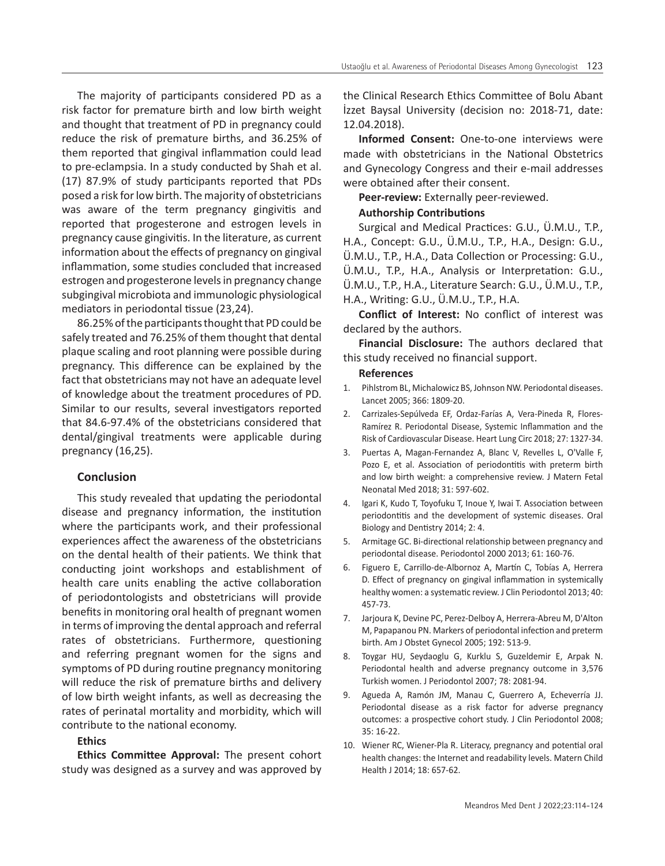The majority of participants considered PD as a risk factor for premature birth and low birth weight and thought that treatment of PD in pregnancy could reduce the risk of premature births, and 36.25% of them reported that gingival inflammation could lead to pre-eclampsia. In a study conducted by Shah et al. (17) 87.9% of study participants reported that PDs posed a risk for low birth. The majority of obstetricians was aware of the term pregnancy gingivitis and reported that progesterone and estrogen levels in pregnancy cause gingivitis. In the literature, as current information about the effects of pregnancy on gingival inflammation, some studies concluded that increased estrogen and progesterone levels in pregnancy change subgingival microbiota and immunologic physiological mediators in periodontal tissue (23,24).

86.25% of the participants thought that PD could be safely treated and 76.25% of them thought that dental plaque scaling and root planning were possible during pregnancy. This difference can be explained by the fact that obstetricians may not have an adequate level of knowledge about the treatment procedures of PD. Similar to our results, several investigators reported that 84.6-97.4% of the obstetricians considered that dental/gingival treatments were applicable during pregnancy (16,25).

#### **Conclusion**

This study revealed that updating the periodontal disease and pregnancy information, the institution where the participants work, and their professional experiences affect the awareness of the obstetricians on the dental health of their patients. We think that conducting joint workshops and establishment of health care units enabling the active collaboration of periodontologists and obstetricians will provide benefits in monitoring oral health of pregnant women in terms of improving the dental approach and referral rates of obstetricians. Furthermore, questioning and referring pregnant women for the signs and symptoms of PD during routine pregnancy monitoring will reduce the risk of premature births and delivery of low birth weight infants, as well as decreasing the rates of perinatal mortality and morbidity, which will contribute to the national economy.

## **Ethics**

**Ethics Committee Approval:** The present cohort study was designed as a survey and was approved by the Clinical Research Ethics Committee of Bolu Abant İzzet Baysal University (decision no: 2018-71, date: 12.04.2018).

**Informed Consent:** One-to-one interviews were made with obstetricians in the National Obstetrics and Gynecology Congress and their e-mail addresses were obtained after their consent.

**Peer-review:** Externally peer-reviewed.

#### **Authorship Contributions**

Surgical and Medical Practices: G.U., Ü.M.U., T.P., H.A., Concept: G.U., Ü.M.U., T.P., H.A., Design: G.U., Ü.M.U., T.P., H.A., Data Collection or Processing: G.U., Ü.M.U., T.P., H.A., Analysis or Interpretation: G.U., Ü.M.U., T.P., H.A., Literature Search: G.U., Ü.M.U., T.P., H.A., Writing: G.U., Ü.M.U., T.P., H.A.

**Conflict of Interest:** No conflict of interest was declared by the authors.

**Financial Disclosure:** The authors declared that this study received no financial support.

#### **References**

- 1. Pihlstrom BL, Michalowicz BS, Johnson NW. Periodontal diseases. Lancet 2005; 366: 1809-20.
- 2. Carrizales-Sepúlveda EF, Ordaz-Farías A, Vera-Pineda R, Flores-Ramírez R. Periodontal Disease, Systemic Inflammation and the Risk of Cardiovascular Disease. Heart Lung Circ 2018; 27: 1327-34.
- 3. Puertas A, Magan-Fernandez A, Blanc V, Revelles L, O'Valle F, Pozo E, et al. Association of periodontitis with preterm birth and low birth weight: a comprehensive review. J Matern Fetal Neonatal Med 2018; 31: 597-602.
- 4. Igari K, Kudo T, Toyofuku T, Inoue Y, Iwai T. Association between periodontitis and the development of systemic diseases. Oral Biology and Dentistry 2014; 2: 4.
- 5. Armitage GC. Bi-directional relationship between pregnancy and periodontal disease. Periodontol 2000 2013; 61: 160-76.
- 6. Figuero E, Carrillo-de-Albornoz A, Martín C, Tobías A, Herrera D. Effect of pregnancy on gingival inflammation in systemically healthy women: a systematic review. J Clin Periodontol 2013; 40: 457-73.
- 7. Jarjoura K, Devine PC, Perez-Delboy A, Herrera-Abreu M, D'Alton M, Papapanou PN. Markers of periodontal infection and preterm birth. Am J Obstet Gynecol 2005; 192: 513-9.
- 8. Toygar HU, Seydaoglu G, Kurklu S, Guzeldemir E, Arpak N. Periodontal health and adverse pregnancy outcome in 3,576 Turkish women. J Periodontol 2007; 78: 2081-94.
- 9. Agueda A, Ramón JM, Manau C, Guerrero A, Echeverría JJ. Periodontal disease as a risk factor for adverse pregnancy outcomes: a prospective cohort study. J Clin Periodontol 2008; 35: 16-22.
- 10. Wiener RC, Wiener-Pla R. Literacy, pregnancy and potential oral health changes: the Internet and readability levels. Matern Child Health J 2014; 18: 657-62.